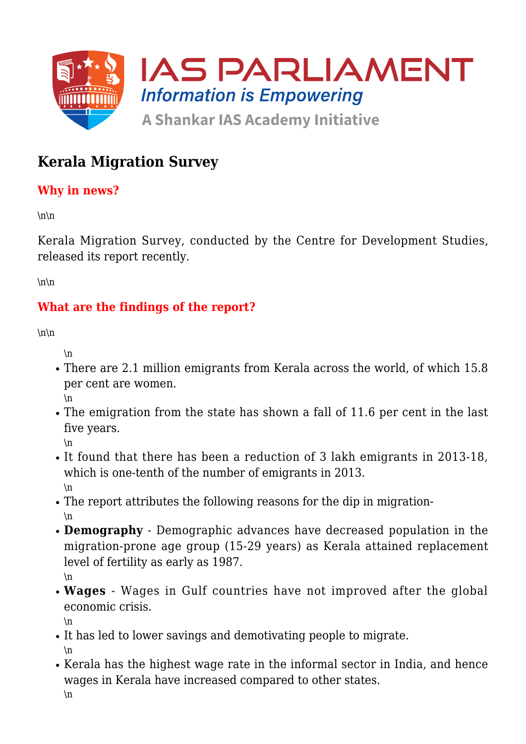

# **Kerala Migration Survey**

### **Why in news?**

 $\ln\$ 

Kerala Migration Survey, conducted by the Centre for Development Studies, released its report recently.

 $\ln\$ 

### **What are the findings of the report?**

 $\ln\$ 

\n

- There are 2.1 million emigrants from Kerala across the world, of which 15.8 per cent are women. \n
- The emigration from the state has shown a fall of 11.6 per cent in the last five years.
	- $\ln$
- It found that there has been a reduction of 3 lakh emigrants in 2013-18, which is one-tenth of the number of emigrants in 2013. \n
- The report attributes the following reasons for the dip in migration- \n
- **Demography** Demographic advances have decreased population in the migration-prone age group (15-29 years) as Kerala attained replacement level of fertility as early as 1987. \n
- **Wages** Wages in Gulf countries have not improved after the global economic crisis.

\n

- It has led to lower savings and demotivating people to migrate. \n
- Kerala has the highest wage rate in the informal sector in India, and hence wages in Kerala have increased compared to other states.  $\ln$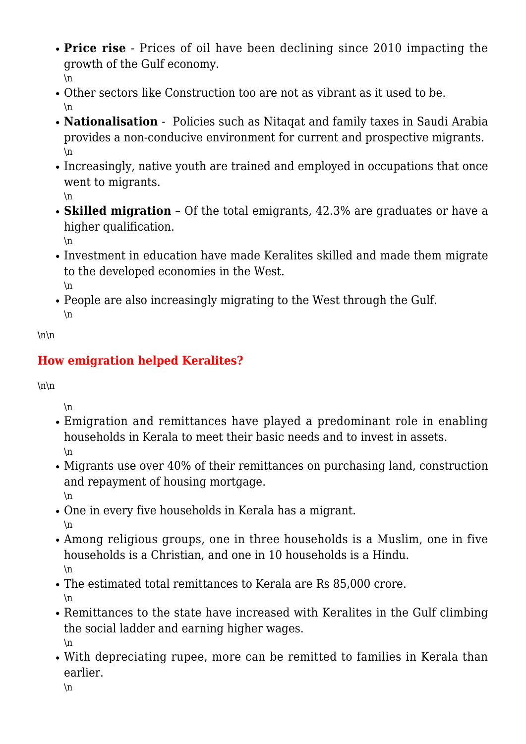- **Price rise** Prices of oil have been declining since 2010 impacting the growth of the Gulf economy. \n
- Other sectors like Construction too are not as vibrant as it used to be. \n
- **Nationalisation**  Policies such as Nitaqat and family taxes in Saudi Arabia provides a non-conducive environment for current and prospective migrants. \n
- Increasingly, native youth are trained and employed in occupations that once went to migrants.

\n

**Skilled migration** – Of the total emigrants, 42.3% are graduates or have a higher qualification.

 $\ln$ 

- Investment in education have made Keralites skilled and made them migrate to the developed economies in the West.  $\ln$
- People are also increasingly migrating to the West through the Gulf.  $\ln$

 $\ln\$ 

## **How emigration helped Keralites?**

 $\ln\$ 

\n

- Emigration and remittances have played a predominant role in enabling households in Kerala to meet their basic needs and to invest in assets. \n
- Migrants use over 40% of their remittances on purchasing land, construction and repayment of housing mortgage.

\n

- One in every five households in Kerala has a migrant. \n
- Among religious groups, one in three households is a Muslim, one in five households is a Christian, and one in 10 households is a Hindu. \n
- The estimated total remittances to Kerala are Rs 85,000 crore. \n
- Remittances to the state have increased with Keralites in the Gulf climbing the social ladder and earning higher wages. \n
- With depreciating rupee, more can be remitted to families in Kerala than earlier.

 $\ln$